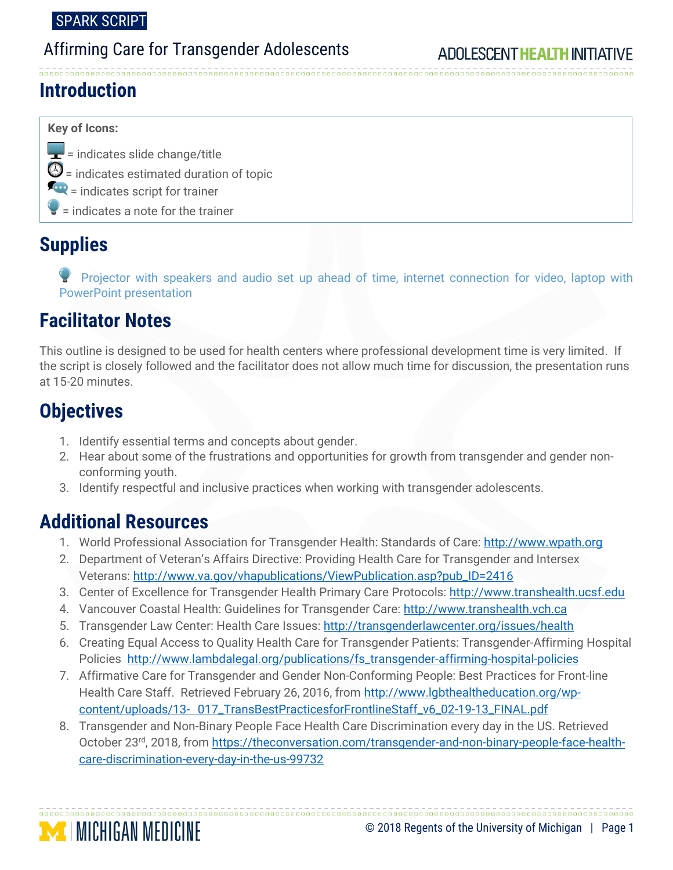# Affirming Care for Transgender Adolescents

### **Introduction**

#### **Key of Icons:**

 $\left| \rule{0pt}{2.5mm} \right|$  = indicates slide change/title  $\mathbf{\Theta}$  = indicates estimated duration of topic  $=\frac{1}{2}$  = indicates script for trainer = indicates a note for the trainer

### **Supplies**

 Projector with speakers and audio set up ahead of time, internet connection for video, laptop with PowerPoint presentation

# **Facilitator Notes**

This outline is designed to be used for health centers where professional development time is very limited. If the script is closely followed and the facilitator does not allow much time for discussion, the presentation runs at 15-20 minutes.

# **Objectives**

- 1. Identify essential terms and concepts about gender.
- 2. Hear about some of the frustrations and opportunities for growth from transgender and gender nonconforming youth.
- 3. Identify respectful and inclusive practices when working with transgender adolescents.

### **Additional Resources**

- 1. World Professional Association for Transgender Health: Standards of Care: [http://www.wpath.org](http://www.wpath.org/)
- 2. Department of Veteran's Affairs Directive: Providing Health Care for Transgender and Intersex Veterans: [http://www.va.gov/vhapublications/ViewPublication.asp?pub\\_ID=2416](http://www.va.gov/vhapublications/ViewPublication.asp?pub_ID=2416)
- 3. Center of Excellence for Transgender Health Primary Care Protocols: [http://www.transhealth.ucsf.edu](http://www.transhealth.ucsf.edu/)
- 4. Vancouver Coastal Health: Guidelines for Transgender Care: [http://www.transhealth.vch.ca](http://www.transhealth.vch.ca/)
- 5. Transgender Law Center: Health Care Issues:<http://transgenderlawcenter.org/issues/health>
- 6. Creating Equal Access to Quality Health Care for Transgender Patients: Transgender-Affirming Hospital Policies [http://www.lambdalegal.org/publications/fs\\_transgender-affirming-hospital-policies](http://www.lambdalegal.org/publications/fs_transgender-affirming-hospital-policies)
- 7. Affirmative Care for Transgender and Gender Non-Conforming People: Best Practices for Front-line Health Care Staff. Retrieved February 26, 2016, from [http://www.lgbthealtheducation.org/wp](http://www.lgbthealtheducation.org/wp-content/uploads/13-017_TransBestPracticesforFrontlineStaff_v6_02-19-13_FINAL.pdf)content/uploads/13- [017\\_TransBestPracticesforFrontlineStaff\\_v6\\_02-19-13\\_FINAL.pdf](http://www.lgbthealtheducation.org/wp-content/uploads/13-017_TransBestPracticesforFrontlineStaff_v6_02-19-13_FINAL.pdf)
- 8. Transgender and Non-Binary People Face Health Care Discrimination every day in the US. Retrieved October 23rd, 2018, from [https://theconversation.com/transgender-and-non-binary-people-face-health](https://theconversation.com/transgender-and-non-binary-people-face-health-care-discrimination-every-day-in-the-us-99732)[care-discrimination-every-day-in-the-us-99732](https://theconversation.com/transgender-and-non-binary-people-face-health-care-discrimination-every-day-in-the-us-99732)

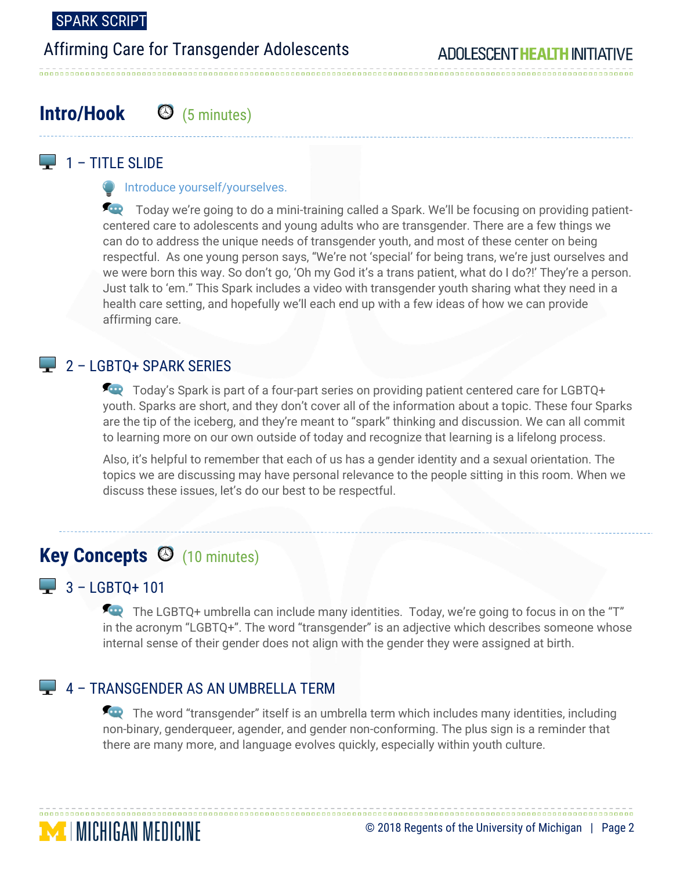### Affirming Care for Transgender Adolescents

# **Intro/Hook** (5 minutes)

### $\Box$  1 – TITLE SLIDE

**Introduce yourself/yourselves.** 

Today we're going to do a mini-training called a Spark. We'll be focusing on providing patientcentered care to adolescents and young adults who are transgender. There are a few things we can do to address the unique needs of transgender youth, and most of these center on being respectful. As one young person says, "We're not 'special' for being trans, we're just ourselves and we were born this way. So don't go, 'Oh my God it's a trans patient, what do I do?!' They're a person. Just talk to 'em." This Spark includes a video with transgender youth sharing what they need in a health care setting, and hopefully we'll each end up with a few ideas of how we can provide affirming care.

#### $2 -$  LGBTO+ SPARK SERIES

Today's Spark is part of a four-part series on providing patient centered care for LGBTQ+ youth. Sparks are short, and they don't cover all of the information about a topic. These four Sparks are the tip of the iceberg, and they're meant to "spark" thinking and discussion. We can all commit to learning more on our own outside of today and recognize that learning is a lifelong process.

Also, it's helpful to remember that each of us has a gender identity and a sexual orientation. The topics we are discussing may have personal relevance to the people sitting in this room. When we discuss these issues, let's do our best to be respectful.

# **Key Concepts**  $\Theta$  (10 minutes)

#### $- 3 - LGBTQ + 101$

The LGBTQ+ umbrella can include many identities. Today, we're going to focus in on the "T" in the acronym "LGBTQ+". The word "transgender" is an adjective which describes someone whose internal sense of their gender does not align with the gender they were assigned at birth.

#### 4 – TRANSGENDER AS AN UMBRELLA TERM

The word "transgender" itself is an umbrella term which includes many identities, including non-binary, genderqueer, agender, and gender non-conforming. The plus sign is a reminder that there are many more, and language evolves quickly, especially within youth culture.